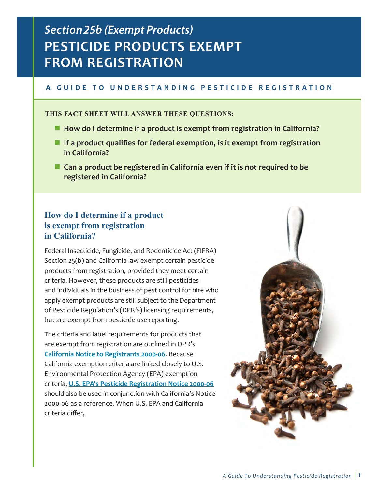# *Section 25b (Exempt Products)*  **PESTICIDE PRODUCTS EXEMPT FROM REGISTRATION**

### A GUIDE TO UNDERSTANDING PESTICIDE REGISTRATION

#### **THIS FACT SHEET WILL ANSWER THESE QUESTIONS:**

- How do I determine if a product is exempt from registration in California?
- **If a product qualifies for federal exemption, is it exempt from registration in California?**
- Can a product be registered in California even if it is not required to be **registered in California?**

## **How do I determine if a product is exempt from registration in California?**

Federal Insecticide, Fungicide, and Rodenticide Act (FIFRA) Section 25(b) and California law exempt certain pesticide products from registration, provided they meet certain criteria. However, these products are still pesticides and individuals in the business of pest control for hire who apply exempt products are still subject to the Department of Pesticide Regulation's (DPR's) licensing requirements, but are exempt from pesticide use reporting.

The criteria and label requirements for products that are exempt from registration are outlined in DPR's **[California Notice to Registrants 2000-06](http://www.cdpr.ca.gov/docs/registration/canot/ca00-6.htm)**. Because California exemption criteria are linked closely to U.S. Environmental Protection Agency (EPA) exemption criteria, **[U.S. EPA's Pesticide Registration Notice 2000-06](http://www.epa.gov/PR_Notices/pr2000-6.pdf)** should also be used in conjunction with California's Notice 2000-06 as a reference. When U.S. EPA and California criteria differ,